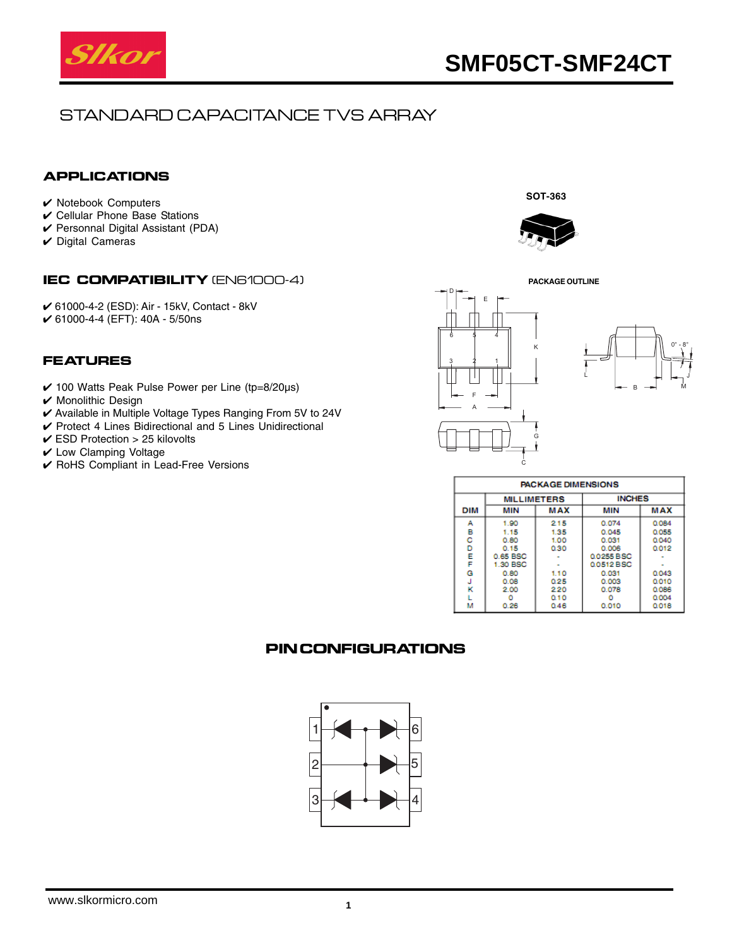

**SOT-363**

# STANDARD CAPACITANCE TVS ARRAY

#### **APPLICATIONS**

- ✔ Notebook Computers
- ✔ Cellular Phone Base Stations
- ✔ Personnal Digital Assistant (PDA)
- $\vee$  Digital Cameras

#### **IEC COMPATIBILITY** (EN61000-4)

✔ 61000-4-2 (ESD): Air - 15kV, Contact - 8kV ✔ 61000-4-4 (EFT): 40A - 5/50ns

#### **FEATURES**

- $\checkmark$  100 Watts Peak Pulse Power per Line (tp=8/20µs)
- ✔ Monolithic Design
- ✔ Available in Multiple Voltage Types Ranging From 5V to 24V
- ✔ Protect 4 Lines Bidirectional and 5 Lines Unidirectional
- $\checkmark$  ESD Protection > 25 kilovolts
- ✔ Low Clamping Voltage
- ✔ RoHS Compliant in Lead-Free Versions





| <b>PACKAGE DIMENSIONS</b> |                    |            |               |            |  |  |  |  |  |
|---------------------------|--------------------|------------|---------------|------------|--|--|--|--|--|
|                           | <b>MILLIMETERS</b> |            | <b>INCHES</b> |            |  |  |  |  |  |
| <b>DIM</b>                | MIN                | <b>MAX</b> | MIN           | <b>MAX</b> |  |  |  |  |  |
| А                         | 1.90               | 215        | 0.074         | 0.084      |  |  |  |  |  |
| в                         | 1.15               | 1.35       | 0.045         | 0.055      |  |  |  |  |  |
| c                         | 0.80               | 1.00       | 0.031         | 0.040      |  |  |  |  |  |
| D                         | 0.15               | 0.30       | 0.006         | 0.012      |  |  |  |  |  |
| E                         | 0.65 BSC           |            | 00255BSC      |            |  |  |  |  |  |
| F                         | 1.30 BSC           |            | 0.0512 BSC    |            |  |  |  |  |  |
| G                         | 0.80               | 1.10       | 0.031         | 0.043      |  |  |  |  |  |
| J                         | 0.08               | 0.25       | 0.003         | 0.010      |  |  |  |  |  |
| к                         | 2.00               | 220        | 0.078         | 0.086      |  |  |  |  |  |
|                           |                    | 010        |               | 0.004      |  |  |  |  |  |
| м                         | 0.26               | 0.46       | 0.010         | 0.018      |  |  |  |  |  |

### **PIN CONFIGURATIONS**

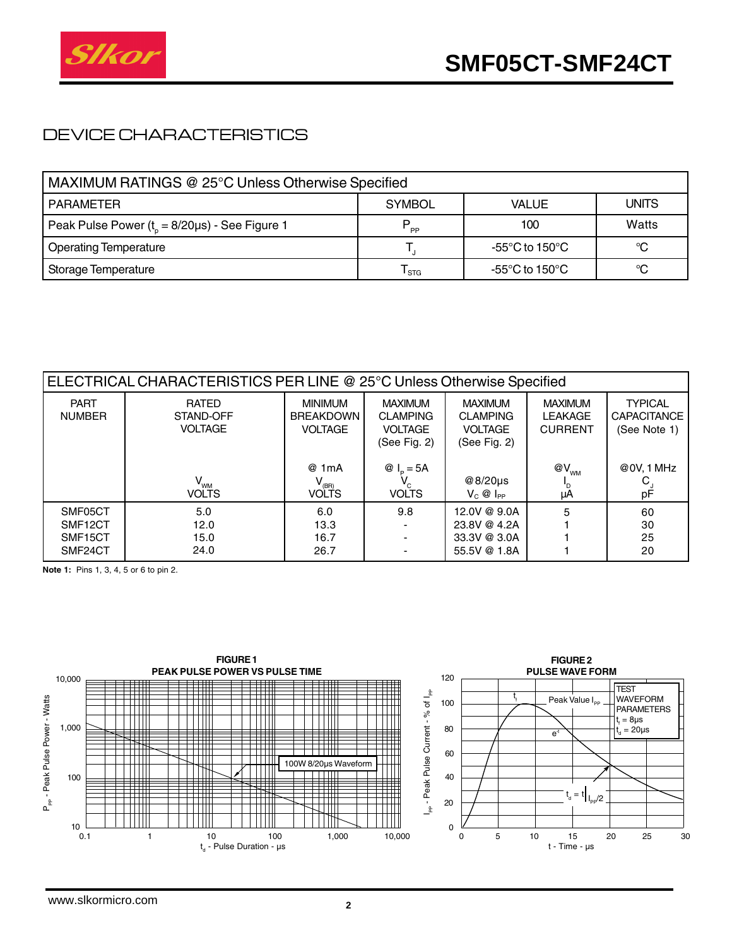

## DEVICE CHARACTERISTICS

| MAXIMUM RATINGS @ 25°C Unless Otherwise Specified    |                |                |       |  |  |  |  |
|------------------------------------------------------|----------------|----------------|-------|--|--|--|--|
| <b>PARAMETER</b>                                     | <b>SYMBOL</b>  | <b>VALUE</b>   | UNITS |  |  |  |  |
| Peak Pulse Power $(t_0 = 8/20 \mu s)$ - See Figure 1 | P<br><b>PP</b> | 100            | Watts |  |  |  |  |
| <b>Operating Temperature</b>                         |                | -55°C to 150°C |       |  |  |  |  |
| Storage Temperature                                  | I stg          | -55°C to 150°C | °C    |  |  |  |  |

| ELECTRICAL CHARACTERISTICS PER LINE @ 25°C Unless Otherwise Specified |                                             |                                                                                                                   |                                                                     |                                                                     |                                                    |                                                      |  |  |
|-----------------------------------------------------------------------|---------------------------------------------|-------------------------------------------------------------------------------------------------------------------|---------------------------------------------------------------------|---------------------------------------------------------------------|----------------------------------------------------|------------------------------------------------------|--|--|
| <b>PART</b><br><b>NUMBER</b>                                          | <b>RATED</b><br>STAND-OFF<br><b>VOLTAGE</b> | <b>MINIMUM</b><br><b>BREAKDOWN</b><br><b>VOLTAGE</b>                                                              | <b>MAXIMUM</b><br><b>CLAMPING</b><br><b>VOLTAGE</b><br>(See Fig. 2) | <b>MAXIMUM</b><br><b>CLAMPING</b><br><b>VOLTAGE</b><br>(See Fig. 2) | <b>MAXIMUM</b><br><b>LEAKAGE</b><br><b>CURRENT</b> | <b>TYPICAL</b><br><b>CAPACITANCE</b><br>(See Note 1) |  |  |
|                                                                       | $V_{_{WM}}$<br><b>VOLTS</b>                 | @ 1mA<br>$V_{\stackrel{\scriptscriptstyle{\rm (BR)}\scriptscriptstyle{\rm (BN)}}{\scriptscriptstyle{\rm WOLTS}}}$ | @ $I_p = 5A$<br><b>VOLTS</b>                                        | @8/20 $\mu$ s<br>$V_C @$ $I_{PP}$                                   | $@V_{_{WM}}$<br>μA                                 | @0V, 1 MHz<br>рF                                     |  |  |
| SMF05CT<br>SMF12CT<br>SMF <sub>15</sub> CT<br>SMF24CT                 | 5.0<br>12.0<br>15.0<br>24.0                 | 6.0<br>13.3<br>16.7<br>26.7                                                                                       | 9.8                                                                 | 12.0V @ 9.0A<br>23.8V @ 4.2A<br>33.3V @ 3.0A<br>55.5V @ 1.8A        | 5                                                  | 60<br>30<br>25<br>20                                 |  |  |

**Note 1:** Pins 1, 3, 4, 5 or 6 to pin 2.